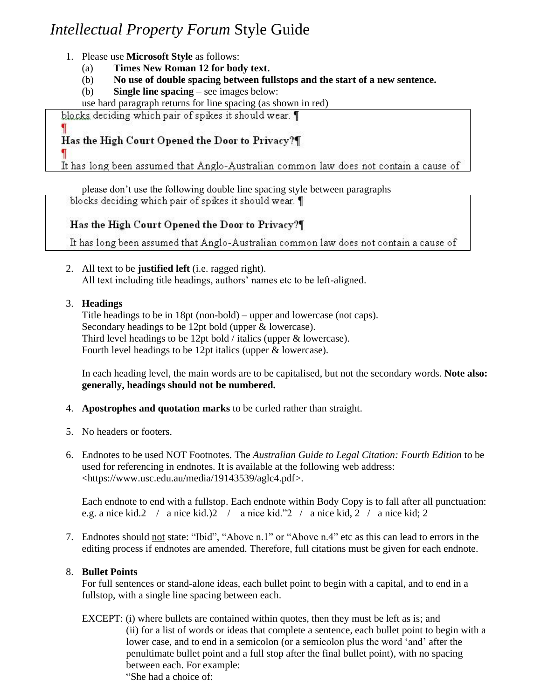# *Intellectual Property Forum* Style Guide

- 1. Please use **Microsoft Style** as follows:
	- (a) **Times New Roman 12 for body text.**
	- (b) **No use of double spacing between fullstops and the start of a new sentence.**
	- (b) **Single line spacing** see images below:

use hard paragraph returns for line spacing (as shown in red)

blocks deciding which pair of spikes it should wear. 1

# Has the High Court Opened the Door to Privacy?¶

It has long been assumed that Anglo-Australian common law does not contain a cause of

please don't use the following double line spacing style between paragraphs blocks deciding which pair of spikes it should wear.

## Has the High Court Opened the Door to Privacy?

It has long been assumed that Anglo-Australian common law does not contain a cause of

- 2. All text to be **justified left** (i.e. ragged right). All text including title headings, authors' names etc to be left-aligned.
- 3. **Headings**

Title headings to be in 18pt (non-bold) – upper and lowercase (not caps). Secondary headings to be 12pt bold (upper & lowercase). Third level headings to be 12pt bold / italics (upper & lowercase). Fourth level headings to be 12pt italics (upper & lowercase).

In each heading level, the main words are to be capitalised, but not the secondary words. **Note also: generally, headings should not be numbered.**

- 4. **Apostrophes and quotation marks** to be curled rather than straight.
- 5. No headers or footers.
- 6. Endnotes to be used NOT Footnotes. The *Australian Guide to Legal Citation: Fourth Edition* to be used for referencing in endnotes. It is available at the following web address: <https://www.usc.edu.au/media/19143539/aglc4.pdf>.

Each endnote to end with a fullstop. Each endnote within Body Copy is to fall after all punctuation: e.g. a nice kid.2 / a nice kid.)2 / a nice kid."2 / a nice kid, 2 / a nice kid; 2

7. Endnotes should not state: "Ibid", "Above n.1" or "Above n.4" etc as this can lead to errors in the editing process if endnotes are amended. Therefore, full citations must be given for each endnote.

### 8. **Bullet Points**

For full sentences or stand-alone ideas, each bullet point to begin with a capital, and to end in a fullstop, with a single line spacing between each.

EXCEPT: (i) where bullets are contained within quotes, then they must be left as is; and (ii) for a list of words or ideas that complete a sentence, each bullet point to begin with a lower case, and to end in a semicolon (or a semicolon plus the word 'and' after the penultimate bullet point and a full stop after the final bullet point), with no spacing between each. For example: "She had a choice of: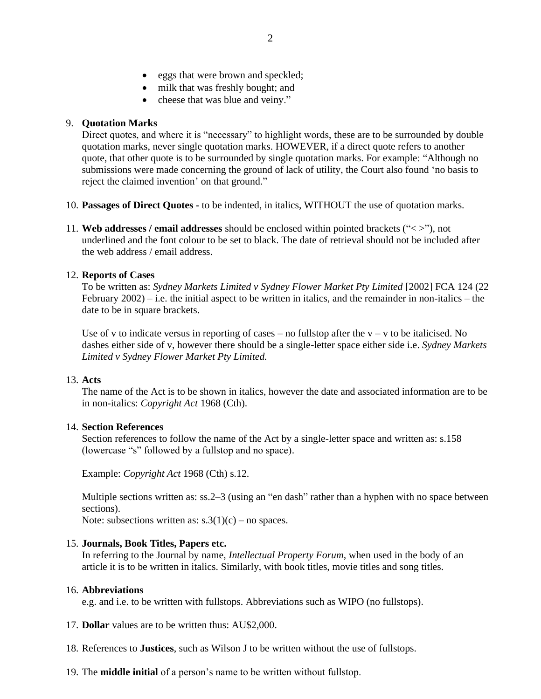- eggs that were brown and speckled;
- milk that was freshly bought; and
- cheese that was blue and veiny."

#### 9. **Quotation Marks**

Direct quotes, and where it is "necessary" to highlight words, these are to be surrounded by double quotation marks, never single quotation marks. HOWEVER, if a direct quote refers to another quote, that other quote is to be surrounded by single quotation marks. For example: "Although no submissions were made concerning the ground of lack of utility, the Court also found 'no basis to reject the claimed invention' on that ground."

- 10. **Passages of Direct Quotes -** to be indented, in italics, WITHOUT the use of quotation marks.
- 11. **Web addresses / email addresses** should be enclosed within pointed brackets ("< >"), not underlined and the font colour to be set to black. The date of retrieval should not be included after the web address / email address.

#### 12. **Reports of Cases**

To be written as: *Sydney Markets Limited v Sydney Flower Market Pty Limited* [2002] FCA 124 (22) February  $2002$  – i.e. the initial aspect to be written in italics, and the remainder in non-italics – the date to be in square brackets.

Use of v to indicate versus in reporting of cases – no fullstop after the  $v - v$  to be italicised. No dashes either side of v, however there should be a single-letter space either side i.e. *Sydney Markets Limited v Sydney Flower Market Pty Limited.*

#### 13. **Acts**

The name of the Act is to be shown in italics, however the date and associated information are to be in non-italics: *Copyright Act* 1968 (Cth).

#### 14. **Section References**

Section references to follow the name of the Act by a single-letter space and written as: s.158 (lowercase "s" followed by a fullstop and no space).

Example: *Copyright Act* 1968 (Cth) s.12.

Multiple sections written as: ss.2–3 (using an "en dash" rather than a hyphen with no space between sections).

Note: subsections written as:  $s \cdot 3(1)(c)$  – no spaces.

#### 15. **Journals, Book Titles, Papers etc.**

In referring to the Journal by name, *Intellectual Property Forum*, when used in the body of an article it is to be written in italics. Similarly, with book titles, movie titles and song titles.

#### 16. **Abbreviations**

e.g. and i.e. to be written with fullstops. Abbreviations such as WIPO (no fullstops).

- 17. **Dollar** values are to be written thus: AU\$2,000.
- 18. References to **Justices**, such as Wilson J to be written without the use of fullstops.
- 19. The **middle initial** of a person's name to be written without fullstop.